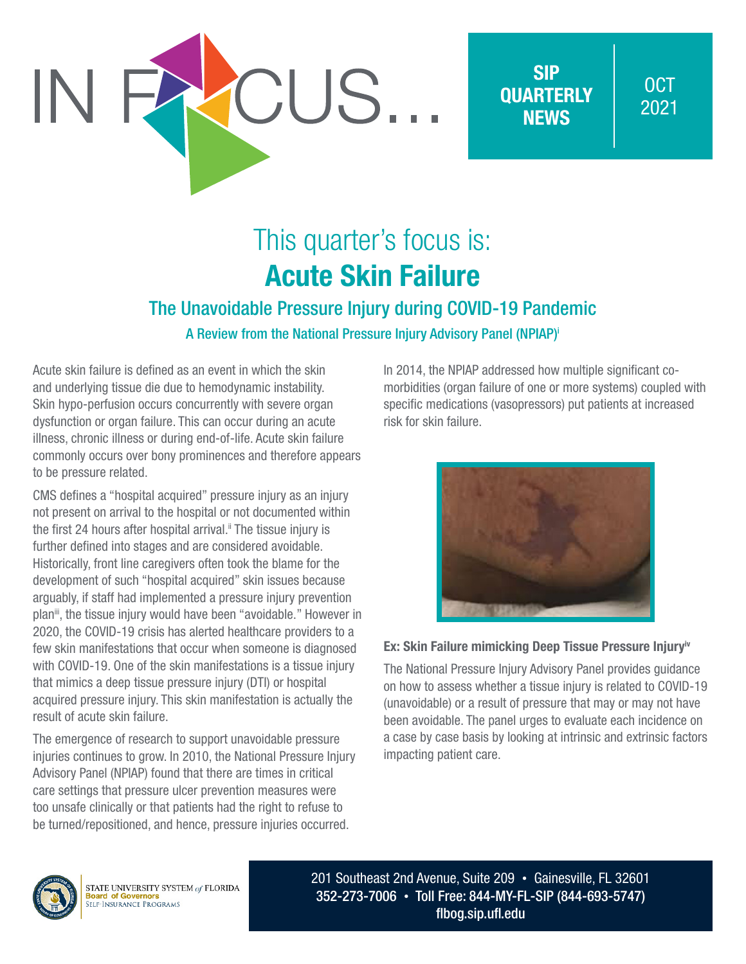

SIP **OUARTERLY NEWS** 

### OCT 2021

# This quarter's focus is: Acute Skin Failure

### The Unavoidable Pressure Injury during COVID-19 Pandemic A Review from the National Pressure Injury Advisory Panel (NPIAP)i

Acute skin failure is defined as an event in which the skin and underlying tissue die due to hemodynamic instability. Skin hypo-perfusion occurs concurrently with severe organ dysfunction or organ failure. This can occur during an acute illness, chronic illness or during end-of-life. Acute skin failure commonly occurs over bony prominences and therefore appears to be pressure related.

CMS defines a "hospital acquired" pressure injury as an injury not present on arrival to the hospital or not documented within the first 24 hours after hospital arrival.<sup>ii</sup> The tissue injury is further defined into stages and are considered avoidable. Historically, front line caregivers often took the blame for the development of such "hospital acquired" skin issues because arguably, if staff had implemented a pressure injury prevention plan<sup>ii</sup>, the tissue injury would have been "avoidable." However in 2020, the COVID-19 crisis has alerted healthcare providers to a few skin manifestations that occur when someone is diagnosed with COVID-19. One of the skin manifestations is a tissue injury that mimics a deep tissue pressure injury (DTI) or hospital acquired pressure injury. This skin manifestation is actually the result of acute skin failure.

The emergence of research to support unavoidable pressure injuries continues to grow. In 2010, the National Pressure Injury Advisory Panel (NPIAP) found that there are times in critical care settings that pressure ulcer prevention measures were too unsafe clinically or that patients had the right to refuse to be turned/repositioned, and hence, pressure injuries occurred.

In 2014, the NPIAP addressed how multiple significant comorbidities (organ failure of one or more systems) coupled with specific medications (vasopressors) put patients at increased risk for skin failure.



#### Ex: Skin Failure mimicking Deep Tissue Pressure Injury<sup>iv</sup>

The National Pressure Injury Advisory Panel provides guidance on how to assess whether a tissue injury is related to COVID-19 (unavoidable) or a result of pressure that may or may not have been avoidable. The panel urges to evaluate each incidence on a case by case basis by looking at intrinsic and extrinsic factors impacting patient care.



STATE UNIVERSITY SYSTEM of FLORIDA **BOATLE CALLERSH I BIBLE**<br>**Board of Governors**<br>SELF-INSURANCE PROGRAMS

201 Southeast 2nd Avenue, Suite 209 • Gainesville, FL 32601 352-273-7006 • Toll Free: 844-MY-FL-SIP (844-693-5747) [flbog.sip.ufl.edu](http://flbog.sip.ufl.edu)